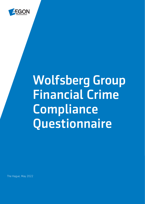

The Hague, May 2022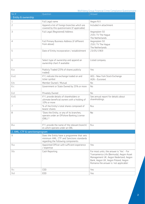| No #                           | Question                                                                                                                      | Answer                                                                                                                                                                                                           |  |
|--------------------------------|-------------------------------------------------------------------------------------------------------------------------------|------------------------------------------------------------------------------------------------------------------------------------------------------------------------------------------------------------------|--|
| 1. Entity & ownership          |                                                                                                                               |                                                                                                                                                                                                                  |  |
| $\mathbf{1}$                   | Full Legal name                                                                                                               | Aegon N.V.                                                                                                                                                                                                       |  |
| $\overline{2}$                 | Append a list of foreign branches which are<br>covered by this questionnaire (if applicable)                                  | Included in attachment                                                                                                                                                                                           |  |
| 3                              | Full Legal (Registered) Address                                                                                               | Aegonplein 50<br>2591 TV The Hague<br>The Netherlands                                                                                                                                                            |  |
| $\overline{4}$                 | Full Primary Business Address (if different<br>from above)                                                                    | Aegonplein 50<br>2591 TV The Haque<br>The Netherlands                                                                                                                                                            |  |
| 5                              | Date of Entity incorporation / establishment                                                                                  | 23/05/1969                                                                                                                                                                                                       |  |
| 6                              | Select type of ownership and append an<br>ownership chart if available                                                        | Listed company                                                                                                                                                                                                   |  |
| 6 a                            | Publicly Traded (25% of shares publicly<br>traded)                                                                            | Yes                                                                                                                                                                                                              |  |
| 6 a 1                          | If Y, indicate the exchange traded on and<br>ticker symbol                                                                    | AEG - New York Stock Exchange<br>AGN - Euronext                                                                                                                                                                  |  |
| 6b                             | Member Owned / Mutual                                                                                                         | No                                                                                                                                                                                                               |  |
| 6 с                            | Government or State Owned by 25% or more                                                                                      | No                                                                                                                                                                                                               |  |
| 6 d                            | Privately Owned                                                                                                               | No                                                                                                                                                                                                               |  |
| 6 d1                           | If Y, provide details of shareholders or<br>ultimate beneficial owners with a holding of<br>10% or more                       | See annual report for details about<br>shareholdings.                                                                                                                                                            |  |
| 7                              | % of the Entity's total shares composed of<br>bearer shares                                                                   | N.a.                                                                                                                                                                                                             |  |
| 8                              | "Does the Entity, or any of its branches,<br>operate under an Offshore Banking License<br>$(OBL)$ ?                           | <b>No</b>                                                                                                                                                                                                        |  |
| 8 a                            | If Y, provide the name of the relevant branch/<br>es which operate under an OBL                                               | N.a.                                                                                                                                                                                                             |  |
| 2. AML, CTF & sanctionsprogram |                                                                                                                               |                                                                                                                                                                                                                  |  |
| 9                              | Does the Entity have a programme that sets<br>minimum AML, CTF and Sanctions standards<br>regarding the following components: |                                                                                                                                                                                                                  |  |
| 9a                             | Appointed Officer with sufficient experience<br>/ expertise                                                                   | Yes                                                                                                                                                                                                              |  |
| 9b                             | Cash Reporting                                                                                                                | For most units, the answer is 'Yes' - For<br>Transamerica Life (Bermuda), Aegon Asset<br>Management UK, Aegon Nederland, Aegon<br>Bank, Aegon UK, Aegon Poland, Aegon<br>Romania the answer is 'not applicable'. |  |
| 9c                             | CDD                                                                                                                           | Yes                                                                                                                                                                                                              |  |
| 9d                             | <b>EDD</b>                                                                                                                    | Yes                                                                                                                                                                                                              |  |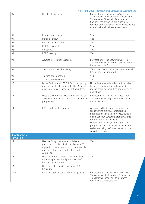| 9e                              | Beneficial Ownership                                                                                                                                                                         | For most units, the answer is 'Yes' - For<br>Transamerica Life Insurance Company and<br>Transamerica Financial Life Insurance<br>Company the answer is 'No' since local<br>requirements for insurance companies do not<br>extend to beneficial owner verification.                                                                                                 |
|---------------------------------|----------------------------------------------------------------------------------------------------------------------------------------------------------------------------------------------|--------------------------------------------------------------------------------------------------------------------------------------------------------------------------------------------------------------------------------------------------------------------------------------------------------------------------------------------------------------------|
| 9f                              | Independent Testing                                                                                                                                                                          | Yes                                                                                                                                                                                                                                                                                                                                                                |
| 9 <sub>g</sub>                  | Periodic Review                                                                                                                                                                              | Yes                                                                                                                                                                                                                                                                                                                                                                |
| 9h                              | Policies and Procedures                                                                                                                                                                      | Yes                                                                                                                                                                                                                                                                                                                                                                |
| 9 i                             | Risk Assessment                                                                                                                                                                              | Yes                                                                                                                                                                                                                                                                                                                                                                |
| 9 j                             | Sanctions                                                                                                                                                                                    | Yes                                                                                                                                                                                                                                                                                                                                                                |
| 9k                              | PEP Screening                                                                                                                                                                                | Yes                                                                                                                                                                                                                                                                                                                                                                |
| 9 <sub>l</sub>                  | Adverse Information Screening                                                                                                                                                                | For most units, the answer is 'Yes' - For<br>Aegon Romania and Aegon Pension Romania<br>the answer is 'No'.                                                                                                                                                                                                                                                        |
| 9 <sub>m</sub>                  | Suspicious Activity Reporting                                                                                                                                                                | Yes - note that in the Netherlands 'unusual<br>transactions' are reported.                                                                                                                                                                                                                                                                                         |
| 9n                              | Training and Education                                                                                                                                                                       | Yes                                                                                                                                                                                                                                                                                                                                                                |
| 90                              | <b>Transaction Monitoring</b>                                                                                                                                                                | Yes                                                                                                                                                                                                                                                                                                                                                                |
| 10                              | Is the Entity's AML, CTF & Sanctions policy<br>approved at least annually by the Board or<br>equivalent Senior Management Committee?                                                         | No - All entities review their AML policies<br>frequently, however not all companies<br>require board or committee approval on an<br>annual basis.                                                                                                                                                                                                                 |
| 11                              | Does the Entity use third parties to carry out<br>any components of its AML, CTF & Sanctions<br>programme?                                                                                   | For most units, the answer is 'Yes' - For<br>Aegon Romania, Aegon Pension Romania,<br>the answer is 'No'.                                                                                                                                                                                                                                                          |
| 11a                             | If Y, provide further details                                                                                                                                                                | Aegon uses third-party systems in-house<br>for screening clients, counterparties,<br>business partners and employees using a<br>global sanction screening program. Some<br>business units may delegate some<br>components of AML, CTF and Sanctions<br>program. Proper due diligence and annual<br>review are being performed as part of the<br>selection process. |
| 3. Anti bribery &<br>corruption |                                                                                                                                                                                              |                                                                                                                                                                                                                                                                                                                                                                    |
| 12                              | Has the Entity documented policies and<br>procedures consistent with applicable ABC<br>regulations and requirements to [reasonably]<br>prevent, detect and report bribery and<br>corruption? | Yes                                                                                                                                                                                                                                                                                                                                                                |
| 13                              | Does the Entity's internal audit function or<br>other independent third party cover ABC<br>Policies and Procedures?                                                                          | Yes                                                                                                                                                                                                                                                                                                                                                                |
| 14                              | Does the Entity provide mandatory ABC<br>training to:                                                                                                                                        |                                                                                                                                                                                                                                                                                                                                                                    |
| 14a                             | Board and Senior Committee Management                                                                                                                                                        | For most units, the answer is 'Yes' - For<br>Transamerica Life Insurance Company, and<br>Transamerica Financial Life Insurance<br>Company the answer is 'No'.                                                                                                                                                                                                      |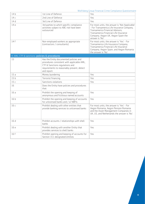| 14 b                                           | 1st Line of Defence                                                                                                                                                                  | Yes                                                                                                                                                                                                                                |
|------------------------------------------------|--------------------------------------------------------------------------------------------------------------------------------------------------------------------------------------|------------------------------------------------------------------------------------------------------------------------------------------------------------------------------------------------------------------------------------|
| 14 c                                           | 2nd Line of Defence                                                                                                                                                                  | Yes                                                                                                                                                                                                                                |
| 14 d                                           | 3rd Line of Defence                                                                                                                                                                  | Yes.                                                                                                                                                                                                                               |
| 14 e                                           | 3rd parties to which specific compliance<br>activities subject to ABC risk have been<br>outsourced                                                                                   | For most units, the answer is 'Not Applicable'<br>- For Transamerica Life Insurance Company,<br>Transamerica Financial Advisors.<br>Transamerica Financial Life Insurance<br>Company, Aegon UK, Aegon Spain the<br>answer is 'No'. |
| 14 f                                           | Non-employed workers as appropriate<br>(contractors / consultants)                                                                                                                   | For most units, the answer is 'Yes' - For<br>Transamerica Life Insurance Company,<br>Transamerica Financial Life Insurance<br>Company, Aegon Spain, and Aegon Romania<br>the answer is 'No'.                                       |
| 4. AML, CTF & sanctions, policies & procedures |                                                                                                                                                                                      |                                                                                                                                                                                                                                    |
| 15                                             | Has the Entity documented policies and<br>procedures consistent with applicable AML,<br>CTF & Sanctions regulations and<br>requirements to reasonably prevent, detect<br>and report: |                                                                                                                                                                                                                                    |
| 15a                                            | Money laundering                                                                                                                                                                     | Yes                                                                                                                                                                                                                                |
| 15 <sub>b</sub>                                | Terrorist financing                                                                                                                                                                  | Yes.                                                                                                                                                                                                                               |
| 15 с                                           | Sanctions violations                                                                                                                                                                 | Yes                                                                                                                                                                                                                                |
| 16                                             | Does the Entity have policies and procedures<br>that:                                                                                                                                |                                                                                                                                                                                                                                    |
| 16a                                            | Prohibit the opening and keeping of<br>anonymous and fictitious named accounts                                                                                                       | Yes                                                                                                                                                                                                                                |
| 16 b                                           | Prohibit the opening and keeping of accounts<br>for unlicensed banks and / or NBFIs                                                                                                  | Yes                                                                                                                                                                                                                                |
| 16c                                            | Prohibit dealing with other entities that<br>provide banking services to unlicensed banks                                                                                            | For most units, the answer is 'Yes' - For<br>Aegon Romania, Aegon Pension Romania<br>and the Asset Management Companies in<br>UK, US, and Netherlands the answer is 'No'.                                                          |
| 16 d                                           | Prohibit accounts / relationships with shell<br><b>banks</b>                                                                                                                         | Yes                                                                                                                                                                                                                                |
| 16 e                                           | Prohibit dealing with another Entity that<br>provides services to shell banks                                                                                                        | Yes                                                                                                                                                                                                                                |
| 16 f                                           | Prohibit opening and keeping of accounts for<br>Section 311 designated entities                                                                                                      | Yes                                                                                                                                                                                                                                |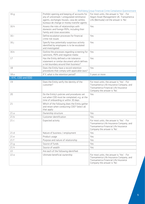|                     |                                                                                                                                                                                       | would go oup imancial crime compliance questionnance                                                                                                          |
|---------------------|---------------------------------------------------------------------------------------------------------------------------------------------------------------------------------------|---------------------------------------------------------------------------------------------------------------------------------------------------------------|
| 16q                 | Prohibit opening and keeping of accounts for<br>any of unlicensed / unregulated remittance<br>agents, exchanges houses, casa de cambio,<br>bureaux de change or money transfer agents | For most units, the answer is 'Yes' - For<br>Aegon Asset Management UK, Transamerica<br>Life (Bermuda) Ltd the answer is 'No'.                                |
| 16 h                | Assess the risks of relationships with<br>domestic and foreign PEPs, including their<br>family and close associates                                                                   | Yes                                                                                                                                                           |
| 16 i                | Define escalation processes for financial<br>crime risk issues                                                                                                                        | Yes                                                                                                                                                           |
| 16 j                | Specify how potentially suspicious activity<br>identified by employees is to be escalated<br>and investigated                                                                         | Yes                                                                                                                                                           |
| 16 k                | Outline the processes regarding screening for<br>sanctions, PEPs and negative media                                                                                                   | Yes                                                                                                                                                           |
| 17                  | Has the Entity defined a risk tolerance<br>statement or similar document which defines<br>a risk boundary around their business?                                                      | Yes                                                                                                                                                           |
| 18                  | Does the Entity have a record retention<br>procedures that comply with applicable laws?                                                                                               | Yes                                                                                                                                                           |
| 18a                 | If Y, what is the retention period?                                                                                                                                                   | 5 years or more                                                                                                                                               |
| 5. KYC, CDD and EDD |                                                                                                                                                                                       |                                                                                                                                                               |
| 19                  | Does the Entity verify the identity of the<br>customer?                                                                                                                               | For most units, the answer is 'Yes' - For<br>Transamerica Life Insurance Company, and<br>Transamerica Financial Life Insurance<br>Company the answer is 'No'. |
| 20                  | Do the Entity's policies and procedures set<br>out when CDD must be completed, e.g. at the<br>time of onboarding or within 30 days                                                    | Yes                                                                                                                                                           |
| 21                  | Which of the following does the Entity gather<br>and retain when conducting CDD? Select all<br>that apply:                                                                            |                                                                                                                                                               |
| 21a                 | Ownership structure                                                                                                                                                                   | Yes                                                                                                                                                           |
| 21 <sub>b</sub>     | Customer identification                                                                                                                                                               | Yes                                                                                                                                                           |
| 21c                 | Expected activity                                                                                                                                                                     | For most units, the answer is 'Yes' - For<br>Transamerica Life Insurance Company, and<br>Transamerica Financial Life Insurance<br>Company the answer is 'No'. |
| 21d                 | Nature of business / employment                                                                                                                                                       | Yes                                                                                                                                                           |
| 21 e                | Product usage                                                                                                                                                                         | Yes                                                                                                                                                           |
| 21f                 | Purpose and nature of relationship                                                                                                                                                    | Yes                                                                                                                                                           |
| 21 <sub>g</sub>     | Source of funds                                                                                                                                                                       | Yes                                                                                                                                                           |
| 21h                 | Source of wealth                                                                                                                                                                      | Yes                                                                                                                                                           |
| 22                  | Are each of the following identified:                                                                                                                                                 |                                                                                                                                                               |
| 22a                 | Ultimate beneficial ownership                                                                                                                                                         | For most units, the answer is 'Yes' - For<br>Transamerica Life Insurance Company, and<br>Transamerica Financial Life Insurance<br>Company the answer is 'No'. |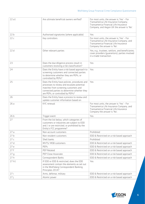| 22a1            | Are ultimate beneficial owners verified?                                                                                                                                                                               | For most units, the answer is 'Yes' - For<br>Transamerica Life Insurance Company,<br>Transamerica Financial Life Insurance<br>Company, and Aegon UK the answer is 'No'. |
|-----------------|------------------------------------------------------------------------------------------------------------------------------------------------------------------------------------------------------------------------|-------------------------------------------------------------------------------------------------------------------------------------------------------------------------|
| 22 <sub>b</sub> | Authorised signatories (where applicable)                                                                                                                                                                              | Yes                                                                                                                                                                     |
| 22c             | Key controllers                                                                                                                                                                                                        | For most units, the answer is 'Yes' - For<br>Transamerica Life Insurance Company, and<br>Transamerica Financial Life Insurance<br>Company the answer is 'No'.           |
| 22d             | Other relevant parties                                                                                                                                                                                                 | Yes, e.g., trustees, settlors, and beneficiaries;<br>cover providers (quarantors); parties involved<br>in a trade transaction.                                          |
| 23              | Does the due diligence process result in<br>customers receiving a risk classification?                                                                                                                                 | Yes                                                                                                                                                                     |
| 24              | Does the Entity have a risk based approach to<br>screening customers and connected parties<br>to determine whether they are PEPs, or<br>controlled by PEPs?                                                            | Yes                                                                                                                                                                     |
| 25              | Does the Entity have policies, procedures and<br>processes to review and escalate potential<br>matches from screening customers and<br>connected parties to determine whether they<br>are PEPs, or controlled by PEPs? | Yes                                                                                                                                                                     |
| 26              | Does the Entity have a process to review and<br>update customer information based on:                                                                                                                                  |                                                                                                                                                                         |
| 26 a            | KYC renewal                                                                                                                                                                                                            | For most units, the answer is 'Yes' - For<br>Transamerica Life Insurance Company, and<br>Transamerica Financial Life Insurance<br>Company the answer is 'No'.           |
| 26 b            | Trigger event                                                                                                                                                                                                          | Yes                                                                                                                                                                     |
| 27              | From the list below, which categories of<br>customers or industries are subject to EDD<br>and / or are restricted, or prohibited by the<br>Entity's FCC programme?                                                     |                                                                                                                                                                         |
| 27a             | Non-account customers                                                                                                                                                                                                  | Prohibited                                                                                                                                                              |
| 27 <sub>b</sub> | Non-resident customers                                                                                                                                                                                                 | EDD & Restricted on a risk based approach                                                                                                                               |
| 27 с            | Shell banks                                                                                                                                                                                                            | Prohibited                                                                                                                                                              |
| 27d             | MVTS/ MSB customers                                                                                                                                                                                                    | EDD & Restricted on a risk based approach                                                                                                                               |
| 27 e            | PEPs                                                                                                                                                                                                                   | EDD & Restricted on a risk based approach                                                                                                                               |
| 27f             | PEP Related                                                                                                                                                                                                            | EDD & Restricted on a risk based approach                                                                                                                               |
| 27g             | PEP Close Associate                                                                                                                                                                                                    | EDD & Restricted on a risk based approach                                                                                                                               |
| 27h             | Correspondent Banks                                                                                                                                                                                                    | EDD & Restricted on a risk based approach                                                                                                                               |
| 27 h1           | If EDD or EDD & restricted, does the EDD<br>assessment contain the elements as set out<br>in the Wolfsberg Correspondent Banking<br>Principles 2014?                                                                   | Yes                                                                                                                                                                     |
| 27i             | Arms, defense, military                                                                                                                                                                                                | EDD & Restricted on a risk based approach                                                                                                                               |
| 27j             | Atomic power                                                                                                                                                                                                           | EDD & Restricted on a risk based approach                                                                                                                               |

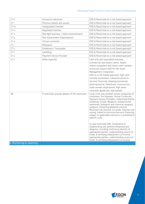| 27k                             | Extractive industries                             | EDD & Restricted on a risk based approach                                                                                                                                                                                                                                                                                                                                                                                                                                                                                                                                                                                                                                                                                                                                             |
|---------------------------------|---------------------------------------------------|---------------------------------------------------------------------------------------------------------------------------------------------------------------------------------------------------------------------------------------------------------------------------------------------------------------------------------------------------------------------------------------------------------------------------------------------------------------------------------------------------------------------------------------------------------------------------------------------------------------------------------------------------------------------------------------------------------------------------------------------------------------------------------------|
| 27l                             | Precious metals and stones                        | EDD & Restricted on a risk based approach                                                                                                                                                                                                                                                                                                                                                                                                                                                                                                                                                                                                                                                                                                                                             |
| 27 <sub>m</sub>                 | Unregulated charities                             | EDD & Restricted on a risk based approach                                                                                                                                                                                                                                                                                                                                                                                                                                                                                                                                                                                                                                                                                                                                             |
| 27n                             | Requlated charities                               | EDD & Restricted on a risk based approach                                                                                                                                                                                                                                                                                                                                                                                                                                                                                                                                                                                                                                                                                                                                             |
| 27 <sub>0</sub>                 | Red light business / Adult entertainment          | EDD & Restricted on a risk based approach                                                                                                                                                                                                                                                                                                                                                                                                                                                                                                                                                                                                                                                                                                                                             |
| 27 <sub>p</sub>                 | Non-Government Organisations                      | EDD & Restricted on a risk based approach                                                                                                                                                                                                                                                                                                                                                                                                                                                                                                                                                                                                                                                                                                                                             |
| 27q                             | Virtual currencies                                | EDD & Restricted on a risk based approach                                                                                                                                                                                                                                                                                                                                                                                                                                                                                                                                                                                                                                                                                                                                             |
| 27r                             | Marijuana                                         | EDD & Restricted on a risk based approach                                                                                                                                                                                                                                                                                                                                                                                                                                                                                                                                                                                                                                                                                                                                             |
| 27s                             | Embassies / Consulates                            | EDD & Restricted on a risk based approach                                                                                                                                                                                                                                                                                                                                                                                                                                                                                                                                                                                                                                                                                                                                             |
| 27t                             | Gambling                                          | EDD & Restricted on a risk based approach                                                                                                                                                                                                                                                                                                                                                                                                                                                                                                                                                                                                                                                                                                                                             |
| 27u                             | Payment Service Provider                          | EDD & Restricted on a risk based approach                                                                                                                                                                                                                                                                                                                                                                                                                                                                                                                                                                                                                                                                                                                                             |
| 27v                             | Other (specify)                                   | Cash and cash equivalent business,<br>commercial real estate clients, bearer<br>shares companies and clients with complex<br>structures require EDD for the Asset<br>Management Companies.<br>EDD on a risk-based approach: high cash<br>turnover businesses, industries prone to<br>terrorist financing, shipping businesses,<br>pharmaceutical, healthcare, construction,<br>state-owned corporations, high value<br>consumer goods (art, real estate).                                                                                                                                                                                                                                                                                                                             |
| 28<br>6. Monitoring & reporting | If restricted, provide details of the restriction | Local units may prohibit certain categories of<br>customers. For example, Virtual Currencies,<br>Payment Service Providers, Unlicensed Online<br>Gambling. Cluster Weapons, antipersonnel<br>landmines, biological and chemical weapons,<br>weapons containing depleted uranium.<br>Mountain top removal, oil sands, thermal coal<br>mining, linked to terrorism/terrorist financing,<br>subject to applicable sanctions is prohibited in<br>specific units.<br>In case restricted AML Compliance or<br>Underwriting will perform enhanced due<br>diligence, including confirming identify of<br>appropriate parties, understanding source of<br>funds, & verifying employment or income.<br>appropriate parties, understanding source of<br>funds, & verifying employment or income. |
|                                 |                                                   |                                                                                                                                                                                                                                                                                                                                                                                                                                                                                                                                                                                                                                                                                                                                                                                       |

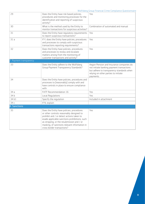| 29                      | Does the Entity have risk based policies,<br>procedures and monitoring processes for the<br>identification and reporting of suspicious<br>activity?                                                                                                                                                              | Yes                                                                                                                                                                                     |
|-------------------------|------------------------------------------------------------------------------------------------------------------------------------------------------------------------------------------------------------------------------------------------------------------------------------------------------------------|-----------------------------------------------------------------------------------------------------------------------------------------------------------------------------------------|
| 30                      | What is the method used by the Entity to<br>monitor transactions for suspicious activities?                                                                                                                                                                                                                      | Combination of automated and manual                                                                                                                                                     |
| 31                      | Does the Entity have regulatory requirements<br>to report suspicious transactions?                                                                                                                                                                                                                               | Yes                                                                                                                                                                                     |
| 31a                     | If Y, does the Entity have policies, procedures<br>and processes to comply with suspicious<br>transactions reporting requirements?                                                                                                                                                                               | Yes                                                                                                                                                                                     |
| 32                      | Does the Entity have policies, procedures<br>and processes to review and escalate<br>matters arising from the monitoring of<br>customer transactions and activity?                                                                                                                                               | Yes                                                                                                                                                                                     |
| 7. Payment transparency |                                                                                                                                                                                                                                                                                                                  |                                                                                                                                                                                         |
| 33                      | Does the Entity adhere to the Wolfsberg<br>Group Payment Transparency Standards?                                                                                                                                                                                                                                 | Aegon Pension and Insurance companies do<br>not initiate banking payment transactions<br>but adhere to transparency standards when<br>relying on other parties to initiate<br>payments. |
| 34                      | Does the Entity have policies, procedures and<br>processes to [reasonably] comply with and<br>have controls in place to ensure compliance<br>with:                                                                                                                                                               |                                                                                                                                                                                         |
| 34a                     | FATF Recommendation 16                                                                                                                                                                                                                                                                                           | Yes                                                                                                                                                                                     |
| 34 b                    | Local Regulations                                                                                                                                                                                                                                                                                                | Yes                                                                                                                                                                                     |
| 34 b1                   | Specify the regulation                                                                                                                                                                                                                                                                                           | Included in attachment                                                                                                                                                                  |
| 34 с                    | If N, explain                                                                                                                                                                                                                                                                                                    |                                                                                                                                                                                         |
| 8. Sanctions            |                                                                                                                                                                                                                                                                                                                  |                                                                                                                                                                                         |
| 35                      | Does the Entity have policies, procedures<br>or other controls reasonably designed to<br>prohibit and / or detect actions taken to<br>evade applicable sanctions prohibitions, such<br>as stripping, or the resubmission and / or<br>masking, of sanctions relevant information in<br>cross border transactions? | Yes                                                                                                                                                                                     |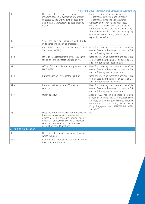|                         |                                                                                                                                                                                                                                                                   | Wolfsberg Group Financial Crime Compliance Questionnaire                                                                                                                                                                                                                                                                                                                         |
|-------------------------|-------------------------------------------------------------------------------------------------------------------------------------------------------------------------------------------------------------------------------------------------------------------|----------------------------------------------------------------------------------------------------------------------------------------------------------------------------------------------------------------------------------------------------------------------------------------------------------------------------------------------------------------------------------|
| 36                      | Does the Entity screen its customers,<br>including beneficial ownership information<br>collected by the Entity, during onboarding<br>and reqularly thereafter against Sanctions<br>Lists?                                                                         | For most units, the answer is 'Yes' -<br>Transamerica Life Insurance Company,<br>Transamerica Financial Life Insurance<br>Company do not have an explicit legal<br>obligation to collect beneficial ownership<br>information hence there the answer is 'No',<br>these companies do screen the vast majority<br>of their customers during onboarding and<br>regularly thereafter. |
| 37                      | Select the Sanctions Lists used by the Entity<br>in its sanctions screening processes:                                                                                                                                                                            |                                                                                                                                                                                                                                                                                                                                                                                  |
| 37a                     | Consolidated United Nations Security Council<br>Sanctions List (UN)                                                                                                                                                                                               | Used for screening customers and beneficial<br>owners (see also the answer on question 36)<br>and for filtering transactional data.                                                                                                                                                                                                                                              |
| 37 b                    | United States Department of the Treasury's<br>Office of Foreign Assets Control (OFAC)                                                                                                                                                                             | Used for screening customers and beneficial<br>owners (see also the answer on question 36)<br>and for filtering transactional data.                                                                                                                                                                                                                                              |
| 37 c                    | Office of Financial Sanctions Implementation<br>HMT (OFSI)                                                                                                                                                                                                        | Used for screening customers and beneficial<br>owners (see also the answer on question 36)<br>and for filtering transactional data.                                                                                                                                                                                                                                              |
| 37 d                    | European Union Consolidated List (EU)                                                                                                                                                                                                                             | Used for screening customers and beneficial<br>owners (see also the answer on question 36)<br>and for filtering transactional data.                                                                                                                                                                                                                                              |
| 37 e                    | Lists maintained by other G7 member<br>countries                                                                                                                                                                                                                  | Used for screening customers and beneficial<br>owners (see also the answer on question 36)<br>and for filtering transactional data.                                                                                                                                                                                                                                              |
| 37 f                    | Other (specify)                                                                                                                                                                                                                                                   | Aegon N.V. has implemented a global<br>sanction screening tool. Lists included cover<br>a variety of different jurisdictions, including<br>but not limited to UN, OFAC, OSFI, EU, Hong<br>Kong, Singapore, Japan, SBN/FBI, DPL, OSFI,<br>and NCCT.                                                                                                                               |
| 38                      | Does the Entity have a physical presence, e.g.,<br>branches, subsidiaries, or representative<br>offices located in countries / regions against<br>which UN, OFAC, OFSI, EU and G7 member<br>countries have enacted comprehensive<br>jurisdiction-based Sanctions? | No                                                                                                                                                                                                                                                                                                                                                                               |
| 9. Training & education |                                                                                                                                                                                                                                                                   |                                                                                                                                                                                                                                                                                                                                                                                  |
| 39                      | Does the Entity provide mandatory training,<br>which includes:                                                                                                                                                                                                    |                                                                                                                                                                                                                                                                                                                                                                                  |
| 39 a                    | Identification and reporting of transactions to<br>government authorities                                                                                                                                                                                         | Yes                                                                                                                                                                                                                                                                                                                                                                              |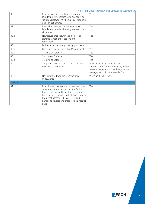| 39 b      | Examples of different forms of money<br>laundering, terrorist financing and sanctions<br>violations relevant for the types of products<br>and services offered                                                                                                                             | Yes                                                                                                                                                           |
|-----------|--------------------------------------------------------------------------------------------------------------------------------------------------------------------------------------------------------------------------------------------------------------------------------------------|---------------------------------------------------------------------------------------------------------------------------------------------------------------|
| 39 с      | Internal policies for controlling money<br>laundering, terrorist financing and sanctions<br>violations                                                                                                                                                                                     | Yes                                                                                                                                                           |
| 39 d      | New issues that occur in the market, e.g.,<br>significant regulatory actions or new<br>requlations                                                                                                                                                                                         | Yes                                                                                                                                                           |
| 40        | Is the above mandatory training provided to:                                                                                                                                                                                                                                               |                                                                                                                                                               |
| 40a       | Board and Senior Committee Management                                                                                                                                                                                                                                                      | Yes                                                                                                                                                           |
| 40 b      | 1st Line of Defence                                                                                                                                                                                                                                                                        | Yes                                                                                                                                                           |
| 40 с      | 2nd Line of Defence                                                                                                                                                                                                                                                                        | Yes                                                                                                                                                           |
| 40d       | 3rd Line of Defence                                                                                                                                                                                                                                                                        | Yes                                                                                                                                                           |
| 40 e      | 3rd parties to which specific FCC activities<br>have been outsourced                                                                                                                                                                                                                       | When applicable - for most units, the<br>answer is 'Yes' - For Aegon Bank, Aegon<br>Asset Management UK, and Aegon Asset<br>Management US, the answer is 'No' |
| 40 f      | Non-employed workers (contractors /<br>consultants)                                                                                                                                                                                                                                        | When applicable - Yes.                                                                                                                                        |
| 10. Audit |                                                                                                                                                                                                                                                                                            |                                                                                                                                                               |
| 41        | In addition to inspections by the government<br>supervisors / regulators, does the Entity<br>havean internal audit function, a testing<br>function or other independent third party, or<br>both, that assesses FCC AML, CTF and<br>Sanctions policies and practices on a regular<br>basis? | Yes                                                                                                                                                           |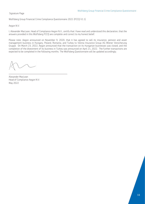Signature Page

Wolfsberg Group Financial Crime Compliance Questionnaire 2021 (FCCQ V1.1)

Aegon N.V.

 $\overline{a}$ 

I, Alexander MacLean, Head of Compliance Aegon N.V., certify that I have read and understood this declaration, that the answers provided in this Wolfsberg FCCQ are complete and correct to my honest belief.

Please note: Aegon announced on November 9, 2020, that it has agreed to sell its insurance, pension and asset management business in Hungary, Poland, Romania, and Turkey to Vienna Insurance Group AG Wiener Versicherung Gruppe. On March 23, 2022, Aegon announced that the transaction on its Hungarian businesses was closed, and the completion of the divestment of its business in Turkey was announced on April 21, 2022. The further transactions are expected to be completed in the following months. The Wolfsberg Questionnaire will be updated accordingly.

Alexander MacLean Head of Compliance Aegon N.V. May 2022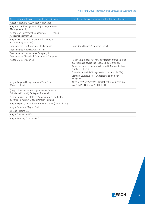| Overview of entities covered by this questionnaire                                                   | List of branches which are covered by this questionnaire                                                                                                                                                                                                                                                   |
|------------------------------------------------------------------------------------------------------|------------------------------------------------------------------------------------------------------------------------------------------------------------------------------------------------------------------------------------------------------------------------------------------------------------|
| Aegon Nederland N.V. (Aegon Nederland)                                                               |                                                                                                                                                                                                                                                                                                            |
| Aegon Asset Management UK plc (Aegon Asset<br>Management UK)                                         |                                                                                                                                                                                                                                                                                                            |
| Aegon USA Investment Management, LLC (Aegon<br>Asset Management US)                                  |                                                                                                                                                                                                                                                                                                            |
| Aegon Investment Management B.V. (Aegon<br>Asset Management NL)                                      |                                                                                                                                                                                                                                                                                                            |
| Transamerica Life (Bermuda) Ltd, Bermuda                                                             | Hong Kong Branch, Singapore Branch                                                                                                                                                                                                                                                                         |
| Transamerica Financial Advisors, Inc.                                                                |                                                                                                                                                                                                                                                                                                            |
| Transamerica Life Insurance Company &<br>Transamerica Financial Life Insurance Company               |                                                                                                                                                                                                                                                                                                            |
| Aegon UK plc (Aegon UK)                                                                              | Aegon UK plc does not have any foreign branches. This<br>questionnaire covers the following legal entities:<br>Aegon Investment Solutions Limited (FCA registration<br>number: 543123)<br>Cofunds Limited (FCA registration number: 194734)<br>Scottish Equitable plc (FCA registration number:<br>165548) |
| Aegon Taryoto Ubezpieczeń na Życie S. A.<br>(Aegon Poland)                                           | AEGON TOWARZYSTWO UBEZPIECZEŃ NA ŻYCIE S.A.<br>VARSOVIA SUCURSALA FLORESTI                                                                                                                                                                                                                                 |
| (Aegon Towarzystwo Ubezpieczeń na Życie S.A. -<br>Oddział w Rumunii) Or Aegon Romania)               |                                                                                                                                                                                                                                                                                                            |
| Aegon Pensii - Societate de Administrare a Fondurilor<br>dePensii Private SA (Aegon Pension Romania) |                                                                                                                                                                                                                                                                                                            |
| Aegon España, S.A.U. Seguros y Reaseguros (Aegon Spain)                                              |                                                                                                                                                                                                                                                                                                            |
| Aegon Bank N.V. (Aegon Bank)                                                                         |                                                                                                                                                                                                                                                                                                            |
| Europe Holding B.V.                                                                                  |                                                                                                                                                                                                                                                                                                            |
| Aegon Derivatives N.V.                                                                               |                                                                                                                                                                                                                                                                                                            |
| Aegon Funding Company LLC                                                                            |                                                                                                                                                                                                                                                                                                            |